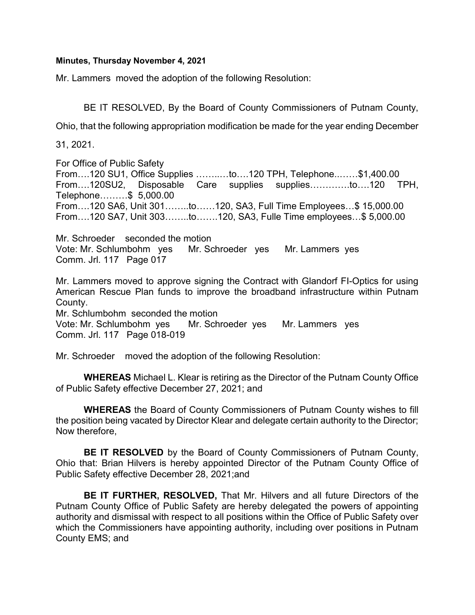## Minutes, Thursday November 4, 2021

Mr. Lammers moved the adoption of the following Resolution:

BE IT RESOLVED, By the Board of County Commissioners of Putnam County,

Ohio, that the following appropriation modification be made for the year ending December

31, 2021.

For Office of Public Safety From….120 SU1, Office Supplies ……..…to….120 TPH, Telephone..……\$1,400.00 From….120SU2, Disposable Care supplies supplies………….to….120 TPH, Telephone………\$ 5,000.00 From….120 SA6, Unit 301……..to……120, SA3, Full Time Employees…\$ 15,000.00 From….120 SA7, Unit 303……..to…….120, SA3, Fulle Time employees…\$ 5,000.00

Mr. Schroeder seconded the motion Vote: Mr. Schlumbohm yes Mr. Schroeder yes Mr. Lammers yes Comm. Jrl. 117 Page 017

Mr. Lammers moved to approve signing the Contract with Glandorf FI-Optics for using American Rescue Plan funds to improve the broadband infrastructure within Putnam County.

Mr. Schlumbohm seconded the motion

Vote: Mr. Schlumbohm yes Mr. Schroeder yes Mr. Lammers yes Comm. Jrl. 117 Page 018-019

Mr. Schroeder moved the adoption of the following Resolution:

WHEREAS Michael L. Klear is retiring as the Director of the Putnam County Office of Public Safety effective December 27, 2021; and

WHEREAS the Board of County Commissioners of Putnam County wishes to fill the position being vacated by Director Klear and delegate certain authority to the Director; Now therefore,

BE IT RESOLVED by the Board of County Commissioners of Putnam County, Ohio that: Brian Hilvers is hereby appointed Director of the Putnam County Office of Public Safety effective December 28, 2021;and

BE IT FURTHER, RESOLVED, That Mr. Hilvers and all future Directors of the Putnam County Office of Public Safety are hereby delegated the powers of appointing authority and dismissal with respect to all positions within the Office of Public Safety over which the Commissioners have appointing authority, including over positions in Putnam County EMS; and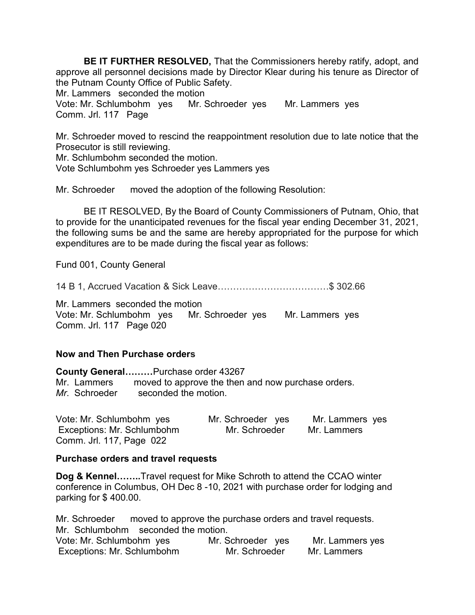BE IT FURTHER RESOLVED, That the Commissioners hereby ratify, adopt, and approve all personnel decisions made by Director Klear during his tenure as Director of the Putnam County Office of Public Safety.

Mr. Lammers seconded the motion

Vote: Mr. Schlumbohm yes Mr. Schroeder yes Mr. Lammers yes Comm. Jrl. 117 Page

Mr. Schroeder moved to rescind the reappointment resolution due to late notice that the Prosecutor is still reviewing.

Mr. Schlumbohm seconded the motion.

Vote Schlumbohm yes Schroeder yes Lammers yes

Mr. Schroeder moved the adoption of the following Resolution:

 BE IT RESOLVED, By the Board of County Commissioners of Putnam, Ohio, that to provide for the unanticipated revenues for the fiscal year ending December 31, 2021, the following sums be and the same are hereby appropriated for the purpose for which expenditures are to be made during the fiscal year as follows:

Fund 001, County General

14 B 1, Accrued Vacation & Sick Leave………………………………\$ 302.66

Mr. Lammers seconded the motion Vote: Mr. Schlumbohm yes Mr. Schroeder yes Mr. Lammers yes Comm. Jrl. 117 Page 020

## Now and Then Purchase orders

County General………Purchase order 43267 Mr. Lammers moved to approve the then and now purchase orders. Mr. Schroeder seconded the motion

| Vote: Mr. Schlumbohm yes   | Mr. Schroeder yes | Mr. Lammers yes |
|----------------------------|-------------------|-----------------|
| Exceptions: Mr. Schlumbohm | Mr. Schroeder     | Mr. Lammers     |
| Comm. Jrl. 117, Page 022   |                   |                 |

## Purchase orders and travel requests

Dog & Kennel........Travel request for Mike Schroth to attend the CCAO winter conference in Columbus, OH Dec 8 -10, 2021 with purchase order for lodging and parking for \$ 400.00.

Mr. Schroeder moved to approve the purchase orders and travel requests. Mr. Schlumbohm seconded the motion. Vote: Mr. Schlumbohm yes Mr. Schroeder yes Mr. Lammers yes Exceptions: Mr. Schlumbohm Mr. Schroeder Mr. Lammers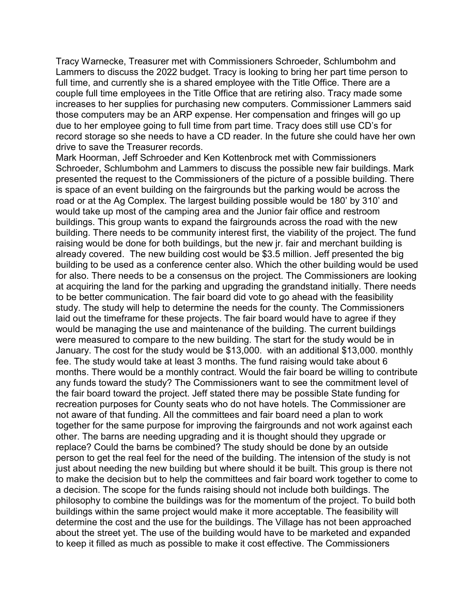Tracy Warnecke, Treasurer met with Commissioners Schroeder, Schlumbohm and Lammers to discuss the 2022 budget. Tracy is looking to bring her part time person to full time, and currently she is a shared employee with the Title Office. There are a couple full time employees in the Title Office that are retiring also. Tracy made some increases to her supplies for purchasing new computers. Commissioner Lammers said those computers may be an ARP expense. Her compensation and fringes will go up due to her employee going to full time from part time. Tracy does still use CD's for record storage so she needs to have a CD reader. In the future she could have her own drive to save the Treasurer records.

Mark Hoorman, Jeff Schroeder and Ken Kottenbrock met with Commissioners Schroeder, Schlumbohm and Lammers to discuss the possible new fair buildings. Mark presented the request to the Commissioners of the picture of a possible building. There is space of an event building on the fairgrounds but the parking would be across the road or at the Ag Complex. The largest building possible would be 180' by 310' and would take up most of the camping area and the Junior fair office and restroom buildings. This group wants to expand the fairgrounds across the road with the new building. There needs to be community interest first, the viability of the project. The fund raising would be done for both buildings, but the new jr. fair and merchant building is already covered. The new building cost would be \$3.5 million. Jeff presented the big building to be used as a conference center also. Which the other building would be used for also. There needs to be a consensus on the project. The Commissioners are looking at acquiring the land for the parking and upgrading the grandstand initially. There needs to be better communication. The fair board did vote to go ahead with the feasibility study. The study will help to determine the needs for the county. The Commissioners laid out the timeframe for these projects. The fair board would have to agree if they would be managing the use and maintenance of the building. The current buildings were measured to compare to the new building. The start for the study would be in January. The cost for the study would be \$13,000. with an additional \$13,000. monthly fee. The study would take at least 3 months. The fund raising would take about 6 months. There would be a monthly contract. Would the fair board be willing to contribute any funds toward the study? The Commissioners want to see the commitment level of the fair board toward the project. Jeff stated there may be possible State funding for recreation purposes for County seats who do not have hotels. The Commissioner are not aware of that funding. All the committees and fair board need a plan to work together for the same purpose for improving the fairgrounds and not work against each other. The barns are needing upgrading and it is thought should they upgrade or replace? Could the barns be combined? The study should be done by an outside person to get the real feel for the need of the building. The intension of the study is not just about needing the new building but where should it be built. This group is there not to make the decision but to help the committees and fair board work together to come to a decision. The scope for the funds raising should not include both buildings. The philosophy to combine the buildings was for the momentum of the project. To build both buildings within the same project would make it more acceptable. The feasibility will determine the cost and the use for the buildings. The Village has not been approached about the street yet. The use of the building would have to be marketed and expanded to keep it filled as much as possible to make it cost effective. The Commissioners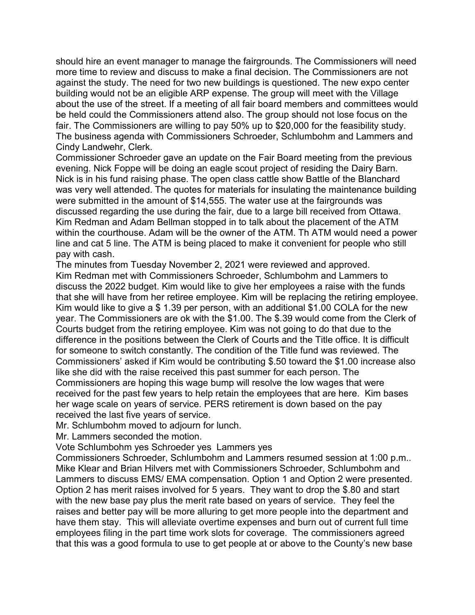should hire an event manager to manage the fairgrounds. The Commissioners will need more time to review and discuss to make a final decision. The Commissioners are not against the study. The need for two new buildings is questioned. The new expo center building would not be an eligible ARP expense. The group will meet with the Village about the use of the street. If a meeting of all fair board members and committees would be held could the Commissioners attend also. The group should not lose focus on the fair. The Commissioners are willing to pay 50% up to \$20,000 for the feasibility study. The business agenda with Commissioners Schroeder, Schlumbohm and Lammers and Cindy Landwehr, Clerk.

Commissioner Schroeder gave an update on the Fair Board meeting from the previous evening. Nick Foppe will be doing an eagle scout project of residing the Dairy Barn. Nick is in his fund raising phase. The open class cattle show Battle of the Blanchard was very well attended. The quotes for materials for insulating the maintenance building were submitted in the amount of \$14,555. The water use at the fairgrounds was discussed regarding the use during the fair, due to a large bill received from Ottawa. Kim Redman and Adam Bellman stopped in to talk about the placement of the ATM within the courthouse. Adam will be the owner of the ATM. Th ATM would need a power line and cat 5 line. The ATM is being placed to make it convenient for people who still pay with cash.

The minutes from Tuesday November 2, 2021 were reviewed and approved. Kim Redman met with Commissioners Schroeder, Schlumbohm and Lammers to discuss the 2022 budget. Kim would like to give her employees a raise with the funds that she will have from her retiree employee. Kim will be replacing the retiring employee. Kim would like to give a \$ 1.39 per person, with an additional \$1.00 COLA for the new year. The Commissioners are ok with the \$1.00. The \$.39 would come from the Clerk of Courts budget from the retiring employee. Kim was not going to do that due to the difference in the positions between the Clerk of Courts and the Title office. It is difficult for someone to switch constantly. The condition of the Title fund was reviewed. The Commissioners' asked if Kim would be contributing \$.50 toward the \$1.00 increase also like she did with the raise received this past summer for each person. The Commissioners are hoping this wage bump will resolve the low wages that were received for the past few years to help retain the employees that are here. Kim bases her wage scale on years of service. PERS retirement is down based on the pay received the last five years of service.

Mr. Schlumbohm moved to adjourn for lunch.

Mr. Lammers seconded the motion.

Vote Schlumbohm yes Schroeder yes Lammers yes

Commissioners Schroeder, Schlumbohm and Lammers resumed session at 1:00 p.m.. Mike Klear and Brian Hilvers met with Commissioners Schroeder, Schlumbohm and Lammers to discuss EMS/ EMA compensation. Option 1 and Option 2 were presented. Option 2 has merit raises involved for 5 years. They want to drop the \$.80 and start with the new base pay plus the merit rate based on years of service. They feel the raises and better pay will be more alluring to get more people into the department and have them stay. This will alleviate overtime expenses and burn out of current full time employees filing in the part time work slots for coverage. The commissioners agreed that this was a good formula to use to get people at or above to the County's new base